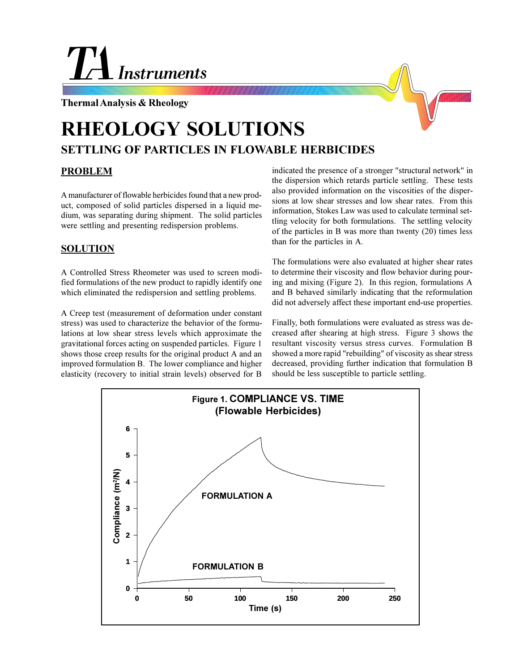## **Instruments**

**Thermal Analysis & Rheology**



## **RHEOLOGY SOLUTIONS SETTLING OF PARTICLES IN FLOWABLE HERBICIDES**

## **PROBLEM**

A manufacturer of flowable herbicides found that a new product, composed of solid particles dispersed in a liquid medium, was separating during shipment. The solid particles were settling and presenting redispersion problems.

## **SOLUTION**

A Controlled Stress Rheometer was used to screen modified formulations of the new product to rapidly identify one which eliminated the redispersion and settling problems.

A Creep test (measurement of deformation under constant stress) was used to characterize the behavior of the formulations at low shear stress levels which approximate the gravitational forces acting on suspended particles. Figure 1 shows those creep results for the original product A and an improved formulation B. The lower compliance and higher elasticity (recovery to initial strain levels) observed for B

indicated the presence of a stronger "structural network" in the dispersion which retards particle settling. These tests also provided information on the viscosities of the dispersions at low shear stresses and low shear rates. From this information, Stokes Law was used to calculate terminal settling velocity for both formulations. The settling velocity of the particles in B was more than twenty (20) times less than for the particles in A.

The formulations were also evaluated at higher shear rates to determine their viscosity and flow behavior during pouring and mixing (Figure 2). In this region, formulations A and B behaved similarly indicating that the reformulation did not adversely affect these important end-use properties.

Finally, both formulations were evaluated as stress was decreased after shearing at high stress. Figure 3 shows the resultant viscosity versus stress curves. Formulation B showed a more rapid "rebuilding" of viscosity as shear stress decreased, providing further indication that formulation B should be less susceptible to particle settling.